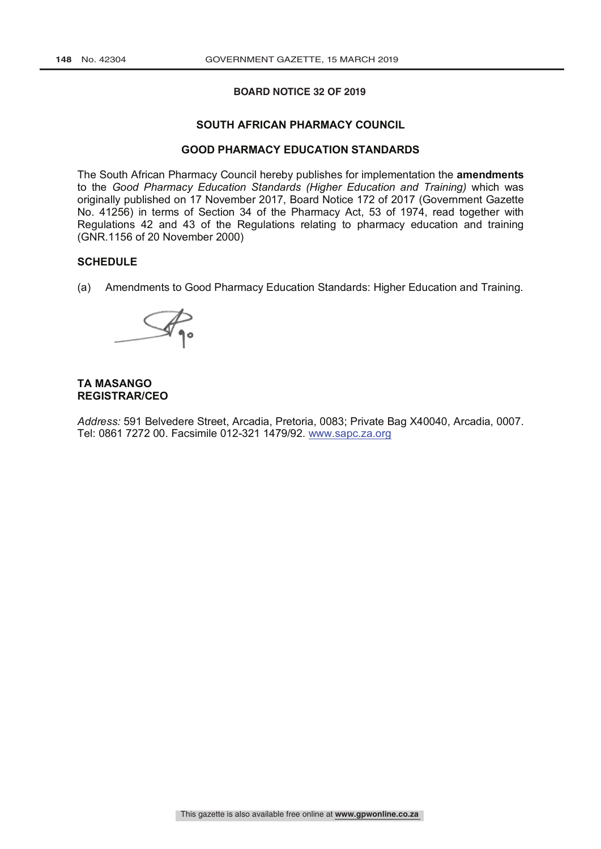## **BOARD NOTICE 32 OF 2019**

### **SOUTH AFRICAN PHARMACY COUNCIL**

# **GOOD PHARMACY EDUCATION STANDARDS**

The South African Pharmacy Council hereby publishes for implementation the **amendments** to the *Good Pharmacy Education Standards (Higher Education and Training)* which was originally published on 17 November 2017, Board Notice 172 of 2017 (Government Gazette No. 41256) in terms of Section 34 of the Pharmacy Act, 53 of 1974, read together with Regulations 42 and 43 of the Regulations relating to pharmacy education and training (GNR.1156 of 20 November 2000)

# **SCHEDULE**

(a) Amendments to Good Pharmacy Education Standards: Higher Education and Training.



# **TA MASANGO REGISTRAR/CEO**

*Address:* 591 Belvedere Street, Arcadia, Pretoria, 0083; Private Bag X40040, Arcadia, 0007. Tel: 0861 7272 00. Facsimile 012-321 1479/92. www.sapc.za.org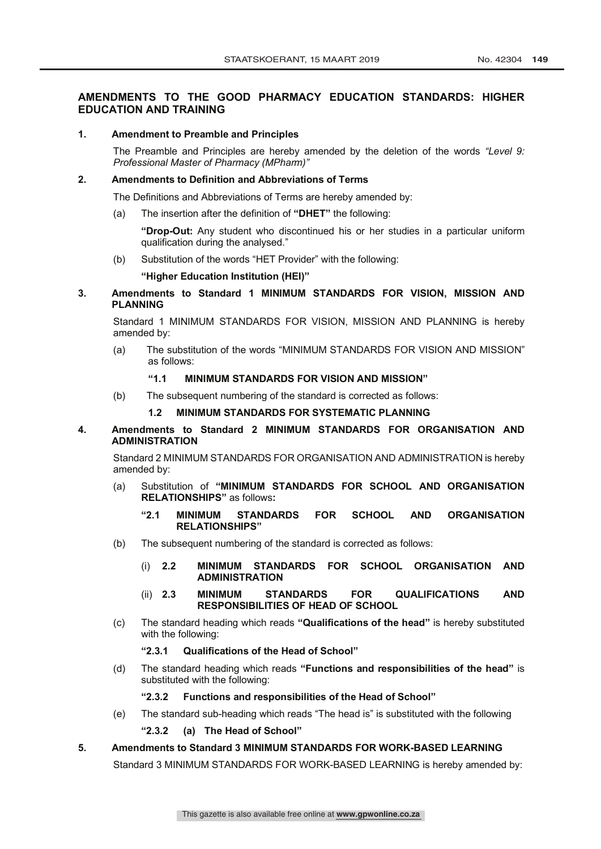# **AMENDMENTS TO THE GOOD PHARMACY EDUCATION STANDARDS: HIGHER EDUCATION AND TRAINING**

## **1. Amendment to Preamble and Principles**

The Preamble and Principles are hereby amended by the deletion of the words *"Level 9: Professional Master of Pharmacy (MPharm)"*

## **2. Amendments to Definition and Abbreviations of Terms**

The Definitions and Abbreviations of Terms are hereby amended by:

(a) The insertion after the definition of **"DHET"** the following:

**"Drop-Out:** Any student who discontinued his or her studies in a particular uniform qualification during the analysed."

(b) Substitution of the words "HET Provider" with the following:

**"Higher Education Institution (HEI)"**

**3. Amendments to Standard 1 MINIMUM STANDARDS FOR VISION, MISSION AND PLANNING** 

Standard 1 MINIMUM STANDARDS FOR VISION, MISSION AND PLANNING is hereby amended by:

(a) The substitution of the words "MINIMUM STANDARDS FOR VISION AND MISSION" as follows:

# **"1.1 MINIMUM STANDARDS FOR VISION AND MISSION"**

(b) The subsequent numbering of the standard is corrected as follows:

## **1.2 MINIMUM STANDARDS FOR SYSTEMATIC PLANNING**

# **4. Amendments to Standard 2 MINIMUM STANDARDS FOR ORGANISATION AND ADMINISTRATION**

Standard 2 MINIMUM STANDARDS FOR ORGANISATION AND ADMINISTRATION is hereby amended by:

- (a) Substitution of **"MINIMUM STANDARDS FOR SCHOOL AND ORGANISATION RELATIONSHIPS"** as follows**:**
	- **"2.1 MINIMUM STANDARDS FOR SCHOOL AND ORGANISATION RELATIONSHIPS"**
- (b) The subsequent numbering of the standard is corrected as follows:
	- (i) **2.2 MINIMUM STANDARDS FOR SCHOOL ORGANISATION AND ADMINISTRATION**
	- (ii) **2.3 MINIMUM STANDARDS FOR QUALIFICATIONS AND RESPONSIBILITIES OF HEAD OF SCHOOL**
- (c) The standard heading which reads **"Qualifications of the head"** is hereby substituted with the following:
	- **"2.3.1 Qualifications of the Head of School"**
- (d) The standard heading which reads **"Functions and responsibilities of the head"** is substituted with the following:

**"2.3.2 Functions and responsibilities of the Head of School"**

(e) The standard sub-heading which reads "The head is" is substituted with the following

# **"2.3.2 (a) The Head of School"**

**5. Amendments to Standard 3 MINIMUM STANDARDS FOR WORK-BASED LEARNING**

Standard 3 MINIMUM STANDARDS FOR WORK-BASED LEARNING is hereby amended by: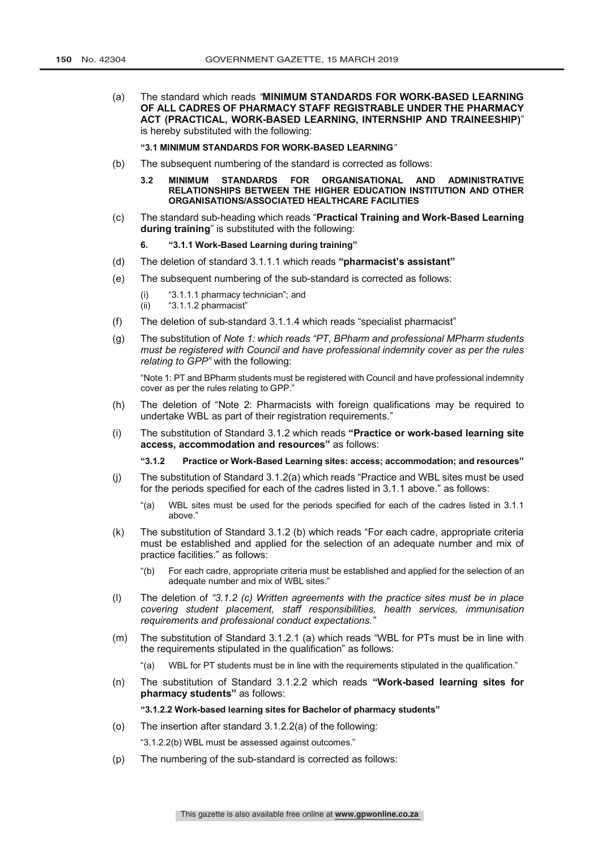(a) The standard which reads *"***MINIMUM STANDARDS FOR WORK-BASED LEARNING OF ALL CADRES OF PHARMACY STAFF REGISTRABLE UNDER THE PHARMACY ACT (PRACTICAL, WORK-BASED LEARNING, INTERNSHIP AND TRAINEESHIP)**" is hereby substituted with the following:

#### **"3.1 MINIMUM STANDARDS FOR WORK-BASED LEARNING***"*

- (b) The subsequent numbering of the standard is corrected as follows:
	- **3.2 MINIMUM STANDARDS FOR ORGANISATIONAL AND ADMINISTRATIVE RELATIONSHIPS BETWEEN THE HIGHER EDUCATION INSTITUTION AND OTHER ORGANISATIONS/ASSOCIATED HEALTHCARE FACILITIES**
- (c) The standard sub-heading which reads "**Practical Training and Work-Based Learning during training**" is substituted with the following:
	- **6. "3.1.1 Work-Based Learning during training"**
- (d) The deletion of standard 3.1.1.1 which reads **"pharmacist's assistant"**
- (e) The subsequent numbering of the sub-standard is corrected as follows:
	- (i)  $"3.1.1.1$  pharmacy technician"; and<br>(ii)  $"3.1.1.2$  pharmacist"
	- "3.1.1.2 pharmacist"
- (f) The deletion of sub-standard 3.1.1.4 which reads "specialist pharmacist"
- (g) The substitution of *Note 1: which reads "PT, BPharm and professional MPharm students must be registered with Council and have professional indemnity cover as per the rules relating to GPP"* with the following:

"Note 1: PT and BPharm students must be registered with Council and have professional indemnity cover as per the rules relating to GPP."

- (h) The deletion of "Note 2: Pharmacists with foreign qualifications may be required to undertake WBL as part of their registration requirements."
- (i) The substitution of Standard 3.1.2 which reads **"Practice or work-based learning site access, accommodation and resources"** as follows:

**"3.1.2 Practice or Work-Based Learning sites: access; accommodation; and resources"**

- (j) The substitution of Standard 3.1.2(a) which reads "Practice and WBL sites must be used for the periods specified for each of the cadres listed in 3.1.1 above." as follows:
	- "(a) WBL sites must be used for the periods specified for each of the cadres listed in 3.1.1 above."
- (k) The substitution of Standard 3.1.2 (b) which reads "For each cadre, appropriate criteria must be established and applied for the selection of an adequate number and mix of practice facilities." as follows:
	- "(b) For each cadre, appropriate criteria must be established and applied for the selection of an adequate number and mix of WBL sites."
- (l) The deletion of *"3.1.2 (c) Written agreements with the practice sites must be in place covering student placement, staff responsibilities, health services, immunisation requirements and professional conduct expectations."*
- (m) The substitution of Standard 3.1.2.1 (a) which reads "WBL for PTs must be in line with the requirements stipulated in the qualification" as follows:

"(a) WBL for PT students must be in line with the requirements stipulated in the qualification."

(n) The substitution of Standard 3.1.2.2 which reads **"Work-based learning sites for pharmacy students"** as follows:

#### **"3.1.2.2 Work-based learning sites for Bachelor of pharmacy students"**

(o) The insertion after standard 3.1.2.2(a) of the following:

"3.1.2.2(b) WBL must be assessed against outcomes."

(p) The numbering of the sub-standard is corrected as follows: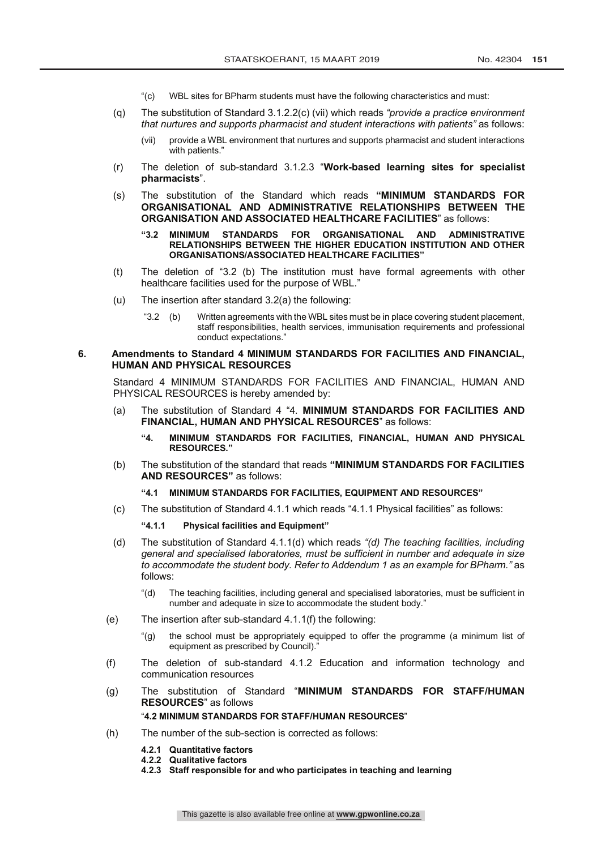- "(c) WBL sites for BPharm students must have the following characteristics and must:
- (q) The substitution of Standard 3.1.2.2(c) (vii) which reads *"provide a practice environment that nurtures and supports pharmacist and student interactions with patients"* as follows:
	- (vii) provide a WBL environment that nurtures and supports pharmacist and student interactions with patients."
- (r) The deletion of sub-standard 3.1.2.3 "**Work-based learning sites for specialist pharmacists**".
- (s) The substitution of the Standard which reads **"MINIMUM STANDARDS FOR ORGANISATIONAL AND ADMINISTRATIVE RELATIONSHIPS BETWEEN THE ORGANISATION AND ASSOCIATED HEALTHCARE FACILITIES**" as follows:
	- **"3.2 MINIMUM STANDARDS FOR ORGANISATIONAL AND ADMINISTRATIVE RELATIONSHIPS BETWEEN THE HIGHER EDUCATION INSTITUTION AND OTHER ORGANISATIONS/ASSOCIATED HEALTHCARE FACILITIES"**
- (t) The deletion of "3.2 (b) The institution must have formal agreements with other healthcare facilities used for the purpose of WBL."
- (u) The insertion after standard 3.2(a) the following:
	- "3.2 (b) Written agreements with the WBL sites must be in place covering student placement, staff responsibilities, health services, immunisation requirements and professional conduct expectations."

## **6. Amendments to Standard 4 MINIMUM STANDARDS FOR FACILITIES AND FINANCIAL, HUMAN AND PHYSICAL RESOURCES**

Standard 4 MINIMUM STANDARDS FOR FACILITIES AND FINANCIAL, HUMAN AND PHYSICAL RESOURCES is hereby amended by:

- (a) The substitution of Standard 4 "4. **MINIMUM STANDARDS FOR FACILITIES AND FINANCIAL, HUMAN AND PHYSICAL RESOURCES**" as follows:
	- **"4. MINIMUM STANDARDS FOR FACILITIES, FINANCIAL, HUMAN AND PHYSICAL RESOURCES."**
- (b) The substitution of the standard that reads **"MINIMUM STANDARDS FOR FACILITIES AND RESOURCES"** as follows:

## **"4.1 MINIMUM STANDARDS FOR FACILITIES, EQUIPMENT AND RESOURCES"**

(c) The substitution of Standard 4.1.1 which reads "4.1.1 Physical facilities" as follows:

**"4.1.1 Physical facilities and Equipment"**

- (d) The substitution of Standard 4.1.1(d) which reads *"(d) The teaching facilities, including general and specialised laboratories, must be sufficient in number and adequate in size to accommodate the student body. Refer to Addendum 1 as an example for BPharm."* as follows:
	- "(d) The teaching facilities, including general and specialised laboratories, must be sufficient in number and adequate in size to accommodate the student body."
- (e) The insertion after sub-standard 4.1.1(f) the following:
	- "(g) the school must be appropriately equipped to offer the programme (a minimum list of equipment as prescribed by Council)."
- (f) The deletion of sub-standard 4.1.2 Education and information technology and communication resources
- (g) The substitution of Standard "**MINIMUM STANDARDS FOR STAFF/HUMAN RESOURCES**" as follows "**4.2 MINIMUM STANDARDS FOR STAFF/HUMAN RESOURCES**"
- (h) The number of the sub-section is corrected as follows:
	- **4.2.1 Quantitative factors**
	- **4.2.2 Qualitative factors**
	- **4.2.3 Staff responsible for and who participates in teaching and learning**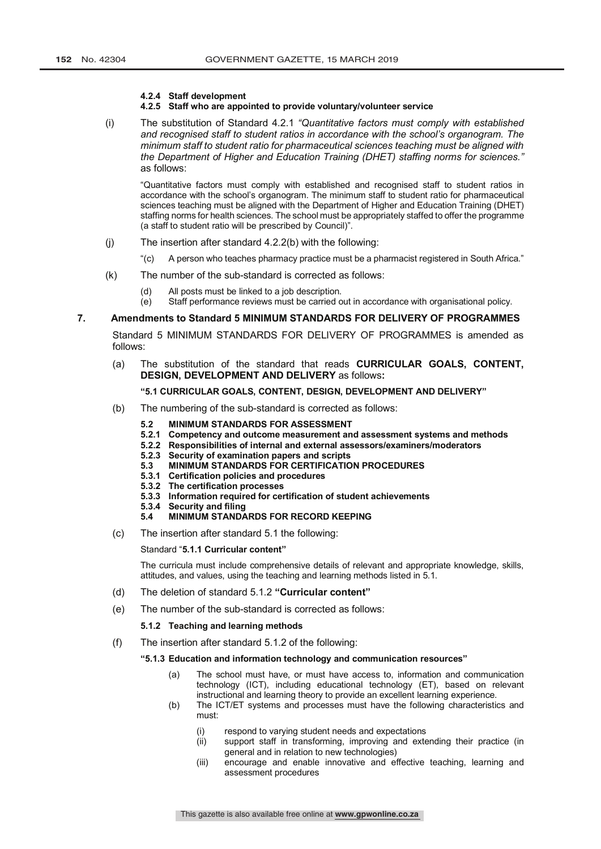#### **4.2.4 Staff development**

#### **4.2.5 Staff who are appointed to provide voluntary/volunteer service**

(i) The substitution of Standard 4.2.1 *"Quantitative factors must comply with established and recognised staff to student ratios in accordance with the school's organogram. The minimum staff to student ratio for pharmaceutical sciences teaching must be aligned with the Department of Higher and Education Training (DHET) staffing norms for sciences."* as follows:

"Quantitative factors must comply with established and recognised staff to student ratios in accordance with the school's organogram. The minimum staff to student ratio for pharmaceutical sciences teaching must be aligned with the Department of Higher and Education Training (DHET) staffing norms for health sciences. The school must be appropriately staffed to offer the programme (a staff to student ratio will be prescribed by Council)".

- (j) The insertion after standard 4.2.2(b) with the following:
	- "(c) A person who teaches pharmacy practice must be a pharmacist registered in South Africa."
- (k) The number of the sub-standard is corrected as follows:
	- (d) All posts must be linked to a job description.
	- (e) Staff performance reviews must be carried out in accordance with organisational policy.

### **7. Amendments to Standard 5 MINIMUM STANDARDS FOR DELIVERY OF PROGRAMMES**

Standard 5 MINIMUM STANDARDS FOR DELIVERY OF PROGRAMMES is amended as follows:

(a) The substitution of the standard that reads **CURRICULAR GOALS, CONTENT, DESIGN, DEVELOPMENT AND DELIVERY** as follows**:**

## **"5.1 CURRICULAR GOALS, CONTENT, DESIGN, DEVELOPMENT AND DELIVERY"**

- (b) The numbering of the sub-standard is corrected as follows:
	- **5.2 MINIMUM STANDARDS FOR ASSESSMENT**
	- **5.2.1 Competency and outcome measurement and assessment systems and methods**
	- **5.2.2 Responsibilities of internal and external assessors/examiners/moderators**
	- **5.2.3 Security of examination papers and scripts**
	- **5.3 MINIMUM STANDARDS FOR CERTIFICATION PROCEDURES**
	- **5.3.1 Certification policies and procedures**
	- **5.3.2 The certification processes**
	- **5.3.3 Information required for certification of student achievements**
	- **5.3.4 Security and filing**

### **5.4 MINIMUM STANDARDS FOR RECORD KEEPING**

(c) The insertion after standard 5.1 the following:

#### Standard "**5.1.1 Curricular content"**

The curricula must include comprehensive details of relevant and appropriate knowledge, skills, attitudes, and values, using the teaching and learning methods listed in 5.1.

- (d) The deletion of standard 5.1.2 **"Curricular content"**
- (e) The number of the sub-standard is corrected as follows:

#### **5.1.2 Teaching and learning methods**

(f) The insertion after standard 5.1.2 of the following:

#### **"5.1.3 Education and information technology and communication resources"**

- (a) The school must have, or must have access to, information and communication technology (ICT), including educational technology (ET), based on relevant instructional and learning theory to provide an excellent learning experience.
- (b) The ICT/ET systems and processes must have the following characteristics and must:
	- (i) respond to varying student needs and expectations
	- (ii) support staff in transforming, improving and extending their practice (in general and in relation to new technologies)
	- (iii) encourage and enable innovative and effective teaching, learning and assessment procedures